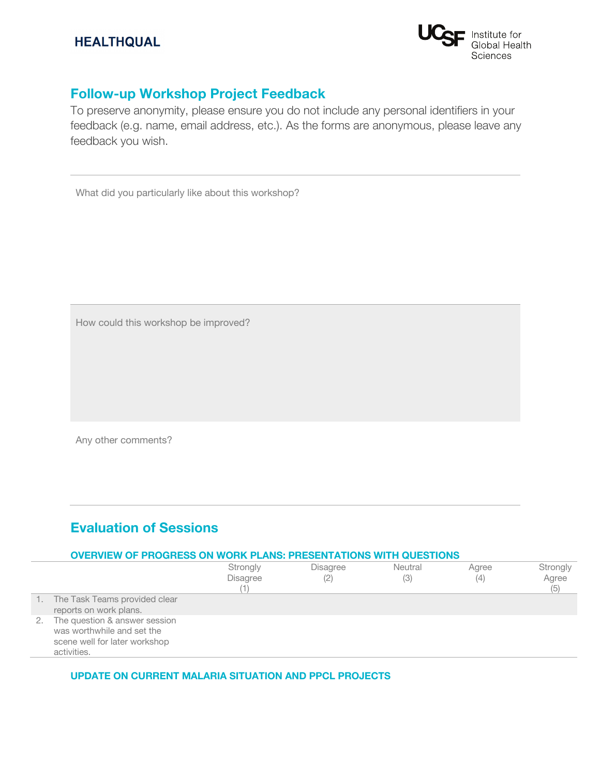

# **Follow-up Workshop Project Feedback**

To preserve anonymity, please ensure you do not include any personal identifiers in your feedback (e.g. name, email address, etc.). As the forms are anonymous, please leave any feedback you wish.

What did you particularly like about this workshop?

How could this workshop be improved?

Any other comments?

# **Evaluation of Sessions**

|    | <b>OVERVIEW OF PROGRESS ON WORK PLANS: PRESENTATIONS WITH QUESTIONS</b>                                     |                             |                        |                |              |                          |  |
|----|-------------------------------------------------------------------------------------------------------------|-----------------------------|------------------------|----------------|--------------|--------------------------|--|
|    |                                                                                                             | Strongly<br><b>Disagree</b> | <b>Disagree</b><br>(2) | Neutral<br>(3) | Agree<br>(4) | Strongly<br>Agree<br>(5) |  |
|    | The Task Teams provided clear<br>reports on work plans.                                                     |                             |                        |                |              |                          |  |
| 2. | The question & answer session<br>was worthwhile and set the<br>scene well for later workshop<br>activities. |                             |                        |                |              |                          |  |

## **UPDATE ON CURRENT MALARIA SITUATION AND PPCL PROJECTS**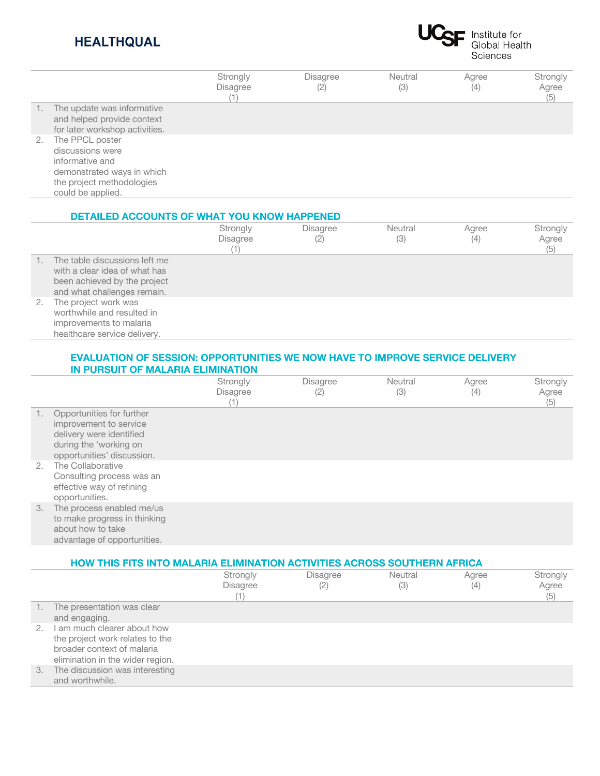# **HEALTHQUAL**



|     |                                                                                                                                        | Strongly<br><b>Disagree</b><br>I) | <b>Disagree</b><br>(2) | Neutral<br>(3) | Agree<br>(4) | Strongly<br>Agree<br>(5) |
|-----|----------------------------------------------------------------------------------------------------------------------------------------|-----------------------------------|------------------------|----------------|--------------|--------------------------|
| -1. | The update was informative<br>and helped provide context<br>for later workshop activities.                                             |                                   |                        |                |              |                          |
| 2.  | The PPCL poster<br>discussions were<br>informative and<br>demonstrated ways in which<br>the project methodologies<br>could be applied. |                                   |                        |                |              |                          |

#### **DETAILED ACCOUNTS OF WHAT YOU KNOW HAPPENED Strongly Disagree** (1) Disagree (2) **Neutral** (3) Agree  $(4)$ **Strongly** Agree  $(5)$ 1. The table discussions left me with a clear idea of what has been achieved by the project and what challenges remain. 2. The project work was worthwhile and resulted in improvements to malaria healthcare service delivery.

## **EVALUATION OF SESSION: OPPORTUNITIES WE NOW HAVE TO IMPROVE SERVICE DELIVERY IN PURSUIT OF MALARIA ELIMINATION**

|    |                                                                                                                                         | Strongly<br><b>Disagree</b> | <b>Disagree</b><br>(2) | Neutral<br>(3) | Agree<br>(4) | Strongly<br>Agree<br>(5) |
|----|-----------------------------------------------------------------------------------------------------------------------------------------|-----------------------------|------------------------|----------------|--------------|--------------------------|
| 1. | Opportunities for further<br>improvement to service<br>delivery were identified<br>during the 'working on<br>opportunities' discussion. |                             |                        |                |              |                          |
| 2. | The Collaborative<br>Consulting process was an<br>effective way of refining<br>opportunities.                                           |                             |                        |                |              |                          |
| 3. | The process enabled me/us<br>to make progress in thinking<br>about how to take<br>advantage of opportunities.                           |                             |                        |                |              |                          |

|    | HOW THIS FITS INTO MALARIA ELIMINATION ACTIVITIES ACROSS SOUTHERN AFRICA                                                            |                                    |                        |                |              |                          |  |  |
|----|-------------------------------------------------------------------------------------------------------------------------------------|------------------------------------|------------------------|----------------|--------------|--------------------------|--|--|
|    |                                                                                                                                     | Strongly<br><b>Disagree</b><br>(1) | <b>Disagree</b><br>(2) | Neutral<br>(3) | Agree<br>(4) | Strongly<br>Agree<br>(5) |  |  |
|    | The presentation was clear<br>and engaging.                                                                                         |                                    |                        |                |              |                          |  |  |
|    | 2. I am much clearer about how<br>the project work relates to the<br>broader context of malaria<br>elimination in the wider region. |                                    |                        |                |              |                          |  |  |
| 3. | The discussion was interesting<br>and worthwhile.                                                                                   |                                    |                        |                |              |                          |  |  |